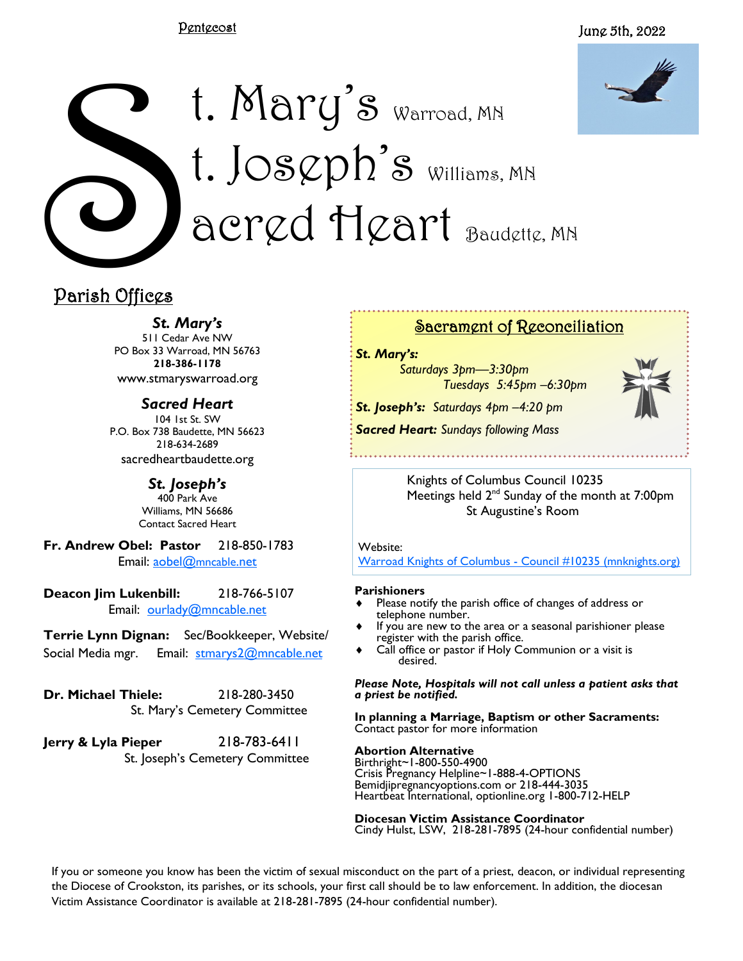#### Pentecost

#### June 5th, 2022



# Parish Offices t. Mary's Warroad, MN t. Jos $\varphi$ ph's Williams, MN acred Heart Baudette, MN

# Parish Offices

*St. Mary's*

511 Cedar Ave NW PO Box 33 Warroad, MN 56763 **218-386-1178** www.stmaryswarroad.org

*Sacred Heart* 104 1st St. SW P.O. Box 738 Baudette, MN 56623 218-634-2689 sacredheartbaudette.org

> *St. Joseph's* 400 Park Ave Williams, MN 56686 Contact Sacred Heart

**Fr. Andrew Obel: Pastor** 218-850-1783 Email: [aobel@](mailto:%20aobel@mncable.net)mncable.net

**Deacon Jim Lukenbill:** 218-766-5107 Email: [ourlady@mncable.net](mailto:ourlady@mncable.net)

**Terrie Lynn Dignan:** Sec/Bookkeeper, Website/ Social Media mgr. Email: [stmarys2@mncable.net](mailto:%20Stmarys2@mncable.net)

**Dr. Michael Thiele:** 218-280-3450 St. Mary's Cemetery Committee

**Jerry & Lyla Pieper** 218-783-6411 St. Joseph's Cemetery Committee

## Sacrament of Reconciliation

*St. Mary's:* 

*Saturdays 3pm—3:30pm Tuesdays 5:45pm –6:30pm*

*St. Joseph's: Saturdays 4pm –4:20 pm Sacred Heart: Sundays following Mass* 



Knights of Columbus Council 10235 Meetings held 2<sup>nd</sup> Sunday of the month at 7:00pm St Augustine's Room

Website:

[Warroad Knights of Columbus -](https://urldefense.com/v3/__https:/kc10235.mnknights.org/__;!!PkZFZeoa!vN_7KBQK7Exn-UymYA7_bA6v9ar8_rfWKmb14G7F9fAbYDjsCk-xaq0uAWywOH4$) Council #10235 (mnknights.org)

#### **Parishioners**

- Please notify the parish office of changes of address or telephone number.
- If you are new to the area or a seasonal parishioner please register with the parish office.
- Call office or pastor if Holy Communion or a visit is desired.

*Please Note, Hospitals will not call unless a patient asks that a priest be notified.*

**In planning a Marriage, Baptism or other Sacraments:**  Contact pastor for more information

#### **Abortion Alternative**

Birthright~1-800-550-4900 Crisis Pregnancy Helpline~1-888-4-OPTIONS Bemidjipregnancyoptions.com or 218-444-3035 Heartbeat International, optionline.org 1-800-712-HELP

**Diocesan Victim Assistance Coordinator** Cindy Hulst, LSW, 218-281-7895 (24-hour confidential number)

If you or someone you know has been the victim of sexual misconduct on the part of a priest, deacon, or individual representing the Diocese of Crookston, its parishes, or its schools, your first call should be to law enforcement. In addition, the diocesan Victim Assistance Coordinator is available at 218-281-7895 (24-hour confidential number).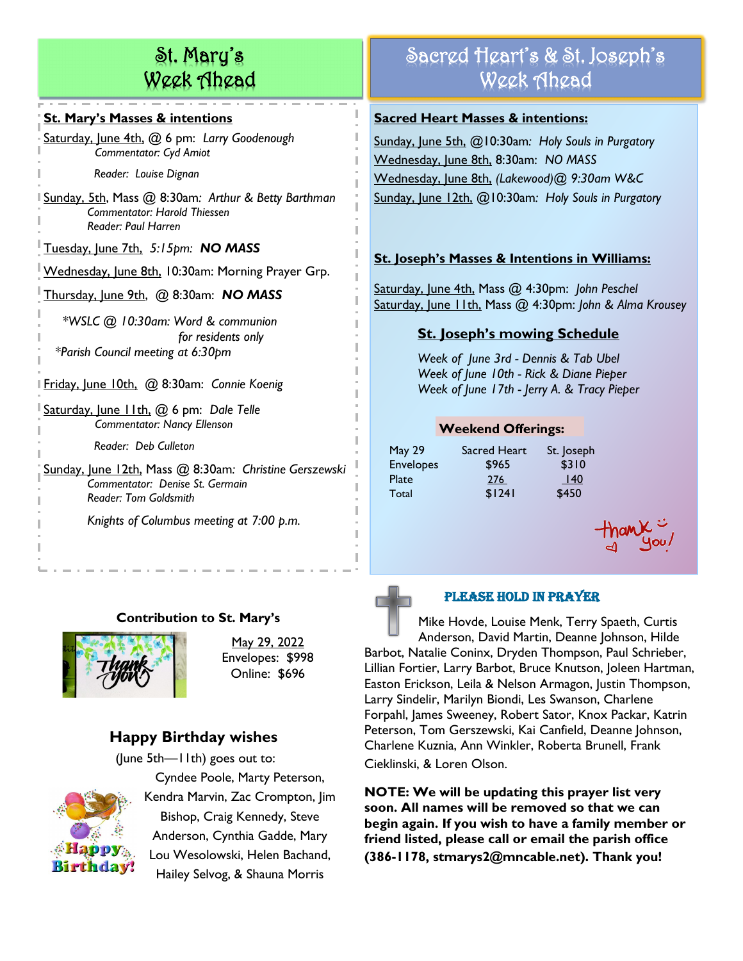# St. Mary's Week Ahead

#### **St. Mary's Masses & intentions**

Saturday, June 4th, @ 6 pm: *Larry Goodenough Commentator: Cyd Amiot*

 *Reader: Louise Dignan*

Sunday, 5th, Mass @ 8:30am*: Arthur & Betty Barthman Commentator: Harold Thiessen Reader: Paul Harren*

Tuesday, June 7th, *5:15pm: NO MASS*

Wednesday, June 8th, 10:30am: Morning Prayer Grp.

Thursday, June 9th, @ 8:30am: *NO MASS* 

 *\*WSLC @ 10:30am: Word & communion for residents only \*Parish Council meeting at 6:30pm*

Friday, June 10th, @ 8:30am: *Connie Koenig*

Saturday, June 11th, @ 6 pm: *Dale Telle Commentator: Nancy Ellenson*

 *Reader: Deb Culleton*

Sunday, June 12th, Mass @ 8:30am*: Christine Gerszewski Commentator: Denise St. Germain Reader: Tom Goldsmith*

*Knights of Columbus meeting at 7:00 p.m.*

## **Contribution to St. Mary's**



May 29, 2022 Envelopes: \$998 Online: \$696

## **Happy Birthday wishes**  (June 5th—11th) goes out to:



Cyndee Poole, Marty Peterson, Kendra Marvin, Zac Crompton, Jim Bishop, Craig Kennedy, Steve Anderson, Cynthia Gadde, Mary Lou Wesolowski, Helen Bachand, Hailey Selvog, & Shauna Morris

# Sacred Heart's & St. Joseph's Week Ahead

#### **Sacred Heart Masses & intentions:**

Sunday, June 5th, @10:30am*: Holy Souls in Purgatory* Wednesday, June 8th, 8:30am: *NO MASS* Wednesday, June 8th, *(Lakewood)@ 9:30am W&C* Sunday, June 12th, @10:30am*: Holy Souls in Purgatory*

## **St. Joseph's Masses & Intentions in Williams:**

Saturday, June 4th, Mass @ 4:30pm: *John Peschel* Saturday, June 11th, Mass @ 4:30pm: *John & Alma Krousey* 

## **St. Joseph's mowing Schedule**

*Week of June 3rd - Dennis & Tab Ubel Week of June 10th - Rick & Diane Pieper Week of June 17th - Jerry A. & Tracy Pieper*

## **Weekend Offerings:**

| <b>May 29</b>    | Sacred Heart | St. Joseph |
|------------------|--------------|------------|
| <b>Envelopes</b> | \$965        | \$310      |
| Plate            | 276          | 40         |
| Total            | \$1241       | \$450      |





## Please Hold in Prayer

Mike Hovde, Louise Menk, Terry Spaeth, Curtis Anderson, David Martin, Deanne Johnson, Hilde Barbot, Natalie Coninx, Dryden Thompson, Paul Schrieber, Lillian Fortier, Larry Barbot, Bruce Knutson, Joleen Hartman, Easton Erickson, Leila & Nelson Armagon, Justin Thompson, Larry Sindelir, Marilyn Biondi, Les Swanson, Charlene Forpahl, James Sweeney, Robert Sator, Knox Packar, Katrin Peterson, Tom Gerszewski, Kai Canfield, Deanne Johnson, Charlene Kuznia, Ann Winkler, Roberta Brunell, Frank Cieklinski, & Loren Olson.

**NOTE: We will be updating this prayer list very soon. All names will be removed so that we can begin again. If you wish to have a family member or friend listed, please call or email the parish office (386-1178, stmarys2@mncable.net). Thank you!**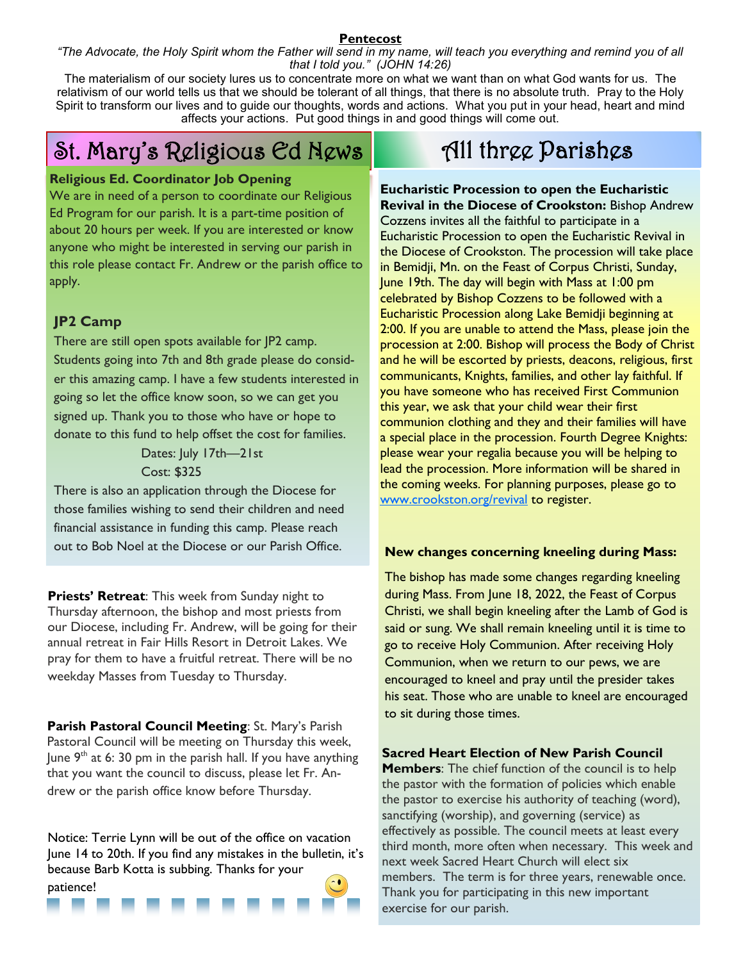#### **Pentecost**

*"The Advocate, the Holy Spirit whom the Father will send in my name, will teach you everything and remind you of all that I told you." (JOHN 14:26)*

The materialism of our society lures us to concentrate more on what we want than on what God wants for us. The relativism of our world tells us that we should be tolerant of all things, that there is no absolute truth. Pray to the Holy Spirit to transform our lives and to guide our thoughts, words and actions. What you put in your head, heart and mind affects your actions. Put good things in and good things will come out.

# St. Mary's Religious Ed News

#### **Religious Ed. Coordinator Job Opening**

We are in need of a person to coordinate our Religious Ed Program for our parish. It is a part-time position of about 20 hours per week. If you are interested or know anyone who might be interested in serving our parish in this role please contact Fr. Andrew or the parish office to apply.

#### **JP2 Camp**

There are still open spots available for JP2 camp. Students going into 7th and 8th grade please do consider this amazing camp. I have a few students interested in going so let the office know soon, so we can get you signed up. Thank you to those who have or hope to donate to this fund to help offset the cost for families.

> Dates: July 17th—21st Cost: \$325

There is also an application through the Diocese for those families wishing to send their children and need financial assistance in funding this camp. Please reach out to Bob Noel at the Diocese or our Parish Office.

**Priests' Retreat**: This week from Sunday night to Thursday afternoon, the bishop and most priests from our Diocese, including Fr. Andrew, will be going for their annual retreat in Fair Hills Resort in Detroit Lakes. We pray for them to have a fruitful retreat. There will be no weekday Masses from Tuesday to Thursday.

**Parish Pastoral Council Meeting**: St. Mary's Parish Pastoral Council will be meeting on Thursday this week, June  $9<sup>th</sup>$  at 6: 30 pm in the parish hall. If you have anything that you want the council to discuss, please let Fr. Andrew or the parish office know before Thursday.

Notice: Terrie Lynn will be out of the office on vacation June 14 to 20th. If you find any mistakes in the bulletin, it's because Barb Kotta is subbing. Thanks for your patience!

# All three Parishes

**Eucharistic Procession to open the Eucharistic Revival in the Diocese of Crookston:** Bishop Andrew Cozzens invites all the faithful to participate in a Eucharistic Procession to open the Eucharistic Revival in the Diocese of Crookston. The procession will take place in Bemidji, Mn. on the Feast of Corpus Christi, Sunday, June 19th. The day will begin with Mass at 1:00 pm celebrated by Bishop Cozzens to be followed with a Eucharistic Procession along Lake Bemidji beginning at 2:00. If you are unable to attend the Mass, please join the procession at 2:00. Bishop will process the Body of Christ and he will be escorted by priests, deacons, religious, first communicants, Knights, families, and other lay faithful. If you have someone who has received First Communion this year, we ask that your child wear their first communion clothing and they and their families will have a special place in the procession. Fourth Degree Knights: please wear your regalia because you will be helping to lead the procession. More information will be shared in the coming weeks. For planning purposes, please go to [www.crookston.org/revival](http://www.crookston.org/revival) to register.

#### **New changes concerning kneeling during Mass:**

The bishop has made some changes regarding kneeling during Mass. From June 18, 2022, the Feast of Corpus Christi, we shall begin kneeling after the Lamb of God is said or sung. We shall remain kneeling until it is time to go to receive Holy Communion. After receiving Holy Communion, when we return to our pews, we are encouraged to kneel and pray until the presider takes his seat. Those who are unable to kneel are encouraged to sit during those times.

**Sacred Heart Election of New Parish Council** 

**Members**: The chief function of the council is to help the pastor with the formation of policies which enable the pastor to exercise his authority of teaching (word), sanctifying (worship), and governing (service) as effectively as possible. The council meets at least every third month, more often when necessary. This week and next week Sacred Heart Church will elect six members. The term is for three years, renewable once. Thank you for participating in this new important exercise for our parish.